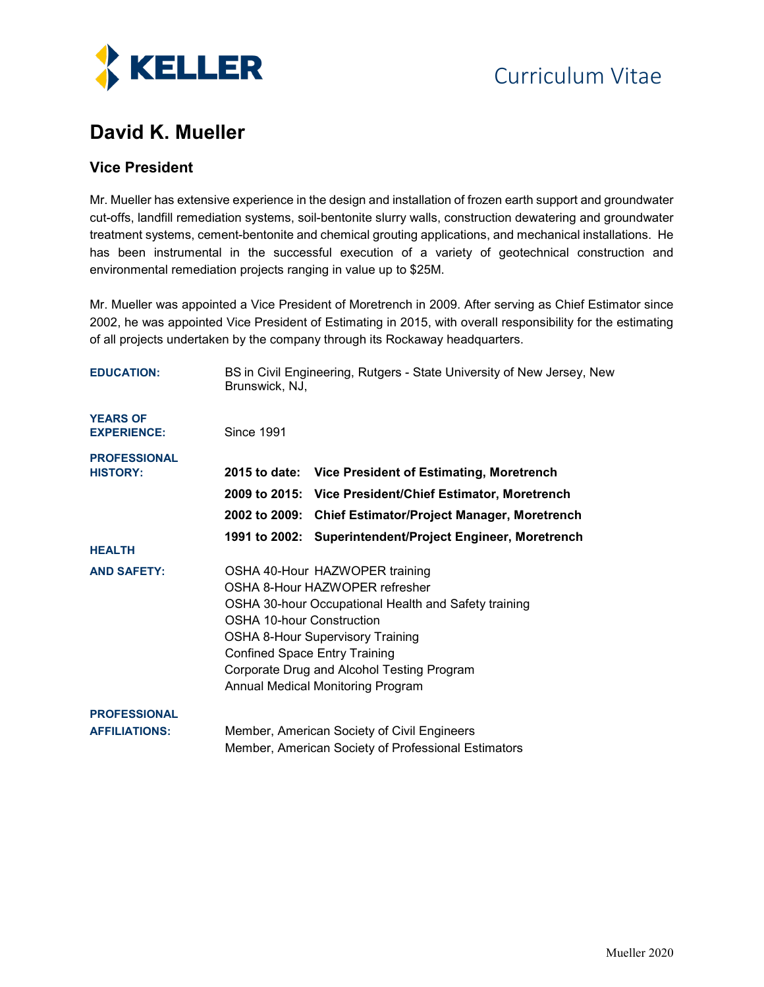

### **David K. Mueller**

### **Vice President**

Mr. Mueller has extensive experience in the design and installation of frozen earth support and groundwater cut-offs, landfill remediation systems, soil-bentonite slurry walls, construction dewatering and groundwater treatment systems, cement-bentonite and chemical grouting applications, and mechanical installations. He has been instrumental in the successful execution of a variety of geotechnical construction and environmental remediation projects ranging in value up to \$25M.

Mr. Mueller was appointed a Vice President of Moretrench in 2009. After serving as Chief Estimator since 2002, he was appointed Vice President of Estimating in 2015, with overall responsibility for the estimating of all projects undertaken by the company through its Rockaway headquarters.

| <b>EDUCATION:</b>                           | BS in Civil Engineering, Rutgers - State University of New Jersey, New<br>Brunswick, NJ, |                                                                                                                                                                                                                                                        |
|---------------------------------------------|------------------------------------------------------------------------------------------|--------------------------------------------------------------------------------------------------------------------------------------------------------------------------------------------------------------------------------------------------------|
| <b>YEARS OF</b><br><b>EXPERIENCE:</b>       | <b>Since 1991</b>                                                                        |                                                                                                                                                                                                                                                        |
| <b>PROFESSIONAL</b><br><b>HISTORY:</b>      |                                                                                          | 2015 to date: Vice President of Estimating, Moretrench<br>2009 to 2015: Vice President/Chief Estimator, Moretrench                                                                                                                                     |
|                                             |                                                                                          | 2002 to 2009: Chief Estimator/Project Manager, Moretrench                                                                                                                                                                                              |
| <b>HEALTH</b>                               |                                                                                          | 1991 to 2002: Superintendent/Project Engineer, Moretrench                                                                                                                                                                                              |
| <b>AND SAFETY:</b>                          | OSHA 10-hour Construction<br><b>Confined Space Entry Training</b>                        | OSHA 40-Hour HAZWOPER training<br>OSHA 8-Hour HAZWOPER refresher<br>OSHA 30-hour Occupational Health and Safety training<br><b>OSHA 8-Hour Supervisory Training</b><br>Corporate Drug and Alcohol Testing Program<br>Annual Medical Monitoring Program |
| <b>PROFESSIONAL</b><br><b>AFFILIATIONS:</b> |                                                                                          | Member, American Society of Civil Engineers<br>Member, American Society of Professional Estimators                                                                                                                                                     |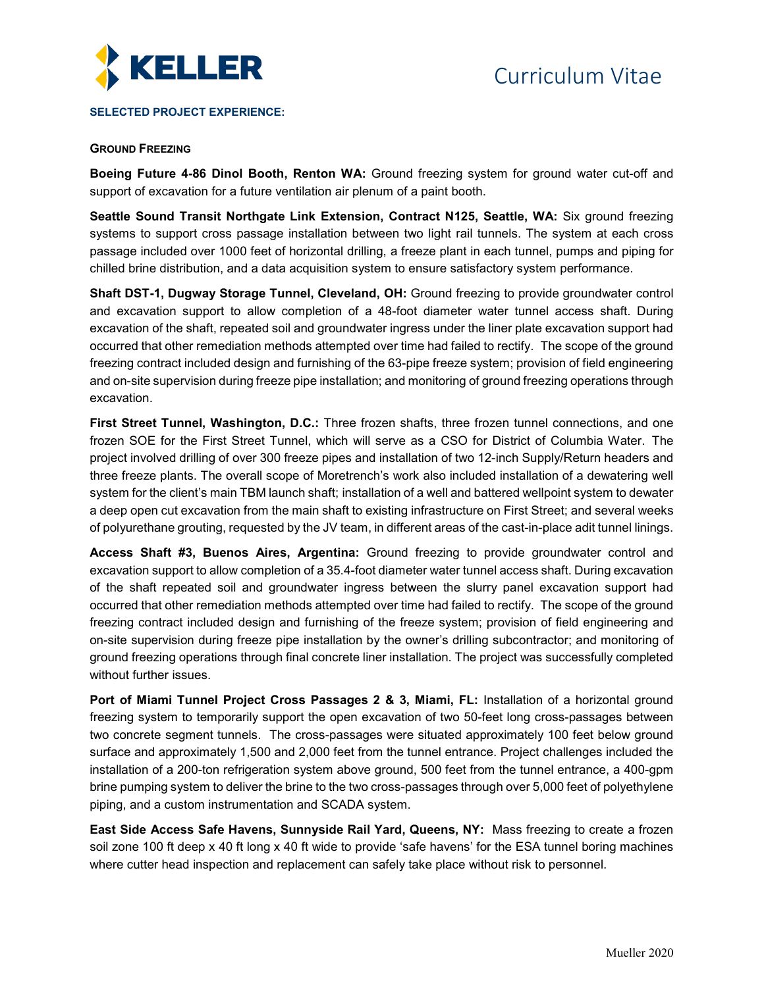

#### **SELECTED PROJECT EXPERIENCE:**

#### **GROUND FREEZING**

**Boeing Future 4-86 Dinol Booth, Renton WA:** Ground freezing system for ground water cut-off and support of excavation for a future ventilation air plenum of a paint booth.

**Seattle Sound Transit Northgate Link Extension, Contract N125, Seattle, WA:** Six ground freezing systems to support cross passage installation between two light rail tunnels. The system at each cross passage included over 1000 feet of horizontal drilling, a freeze plant in each tunnel, pumps and piping for chilled brine distribution, and a data acquisition system to ensure satisfactory system performance.

**Shaft DST-1, Dugway Storage Tunnel, Cleveland, OH:** Ground freezing to provide groundwater control and excavation support to allow completion of a 48-foot diameter water tunnel access shaft. During excavation of the shaft, repeated soil and groundwater ingress under the liner plate excavation support had occurred that other remediation methods attempted over time had failed to rectify. The scope of the ground freezing contract included design and furnishing of the 63-pipe freeze system; provision of field engineering and on-site supervision during freeze pipe installation; and monitoring of ground freezing operations through excavation.

**First Street Tunnel, Washington, D.C.:** Three frozen shafts, three frozen tunnel connections, and one frozen SOE for the First Street Tunnel, which will serve as a CSO for District of Columbia Water. The project involved drilling of over 300 freeze pipes and installation of two 12-inch Supply/Return headers and three freeze plants. The overall scope of Moretrench's work also included installation of a dewatering well system for the client's main TBM launch shaft; installation of a well and battered wellpoint system to dewater a deep open cut excavation from the main shaft to existing infrastructure on First Street; and several weeks of polyurethane grouting, requested by the JV team, in different areas of the cast-in-place adit tunnel linings.

**Access Shaft #3, Buenos Aires, Argentina:** Ground freezing to provide groundwater control and excavation support to allow completion of a 35.4-foot diameter water tunnel access shaft. During excavation of the shaft repeated soil and groundwater ingress between the slurry panel excavation support had occurred that other remediation methods attempted over time had failed to rectify. The scope of the ground freezing contract included design and furnishing of the freeze system; provision of field engineering and on-site supervision during freeze pipe installation by the owner's drilling subcontractor; and monitoring of ground freezing operations through final concrete liner installation. The project was successfully completed without further issues.

**Port of Miami Tunnel Project Cross Passages 2 & 3, Miami, FL:** Installation of a horizontal ground freezing system to temporarily support the open excavation of two 50-feet long cross-passages between two concrete segment tunnels. The cross-passages were situated approximately 100 feet below ground surface and approximately 1,500 and 2,000 feet from the tunnel entrance. Project challenges included the installation of a 200-ton refrigeration system above ground, 500 feet from the tunnel entrance, a 400-gpm brine pumping system to deliver the brine to the two cross-passages through over 5,000 feet of polyethylene piping, and a custom instrumentation and SCADA system.

**East Side Access Safe Havens, Sunnyside Rail Yard, Queens, NY:** Mass freezing to create a frozen soil zone 100 ft deep x 40 ft long x 40 ft wide to provide 'safe havens' for the ESA tunnel boring machines where cutter head inspection and replacement can safely take place without risk to personnel.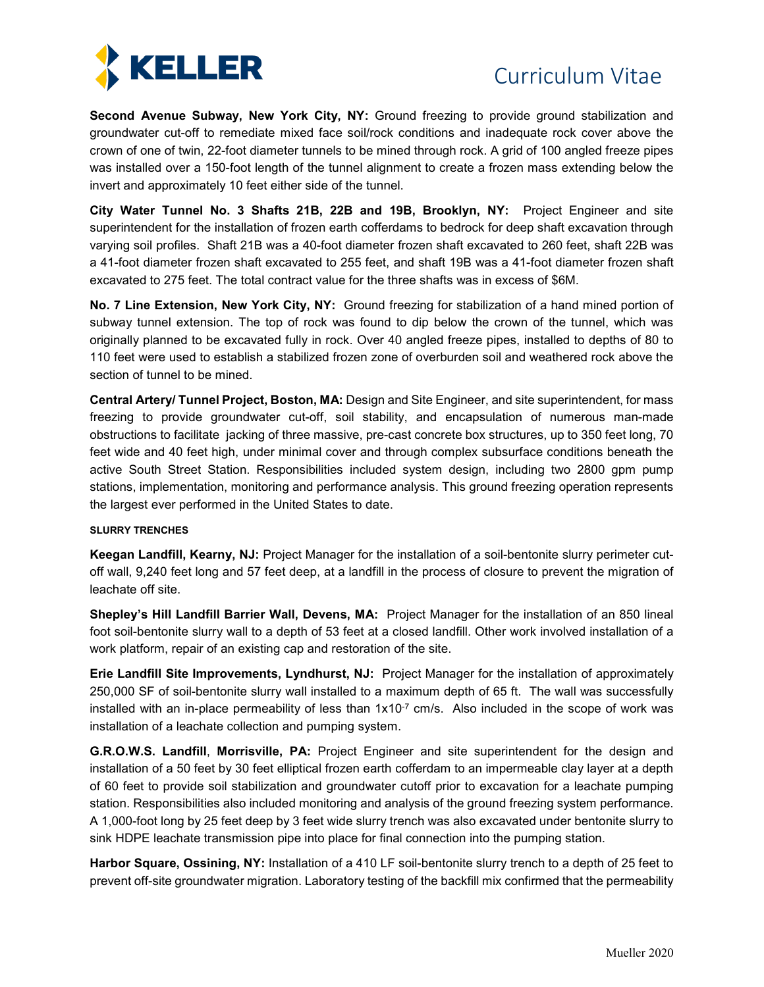

**Second Avenue Subway, New York City, NY:** Ground freezing to provide ground stabilization and groundwater cut-off to remediate mixed face soil/rock conditions and inadequate rock cover above the crown of one of twin, 22-foot diameter tunnels to be mined through rock. A grid of 100 angled freeze pipes was installed over a 150-foot length of the tunnel alignment to create a frozen mass extending below the invert and approximately 10 feet either side of the tunnel.

**City Water Tunnel No. 3 Shafts 21B, 22B and 19B, Brooklyn, NY:** Project Engineer and site superintendent for the installation of frozen earth cofferdams to bedrock for deep shaft excavation through varying soil profiles. Shaft 21B was a 40-foot diameter frozen shaft excavated to 260 feet, shaft 22B was a 41-foot diameter frozen shaft excavated to 255 feet, and shaft 19B was a 41-foot diameter frozen shaft excavated to 275 feet. The total contract value for the three shafts was in excess of \$6M.

**No. 7 Line Extension, New York City, NY:** Ground freezing for stabilization of a hand mined portion of subway tunnel extension. The top of rock was found to dip below the crown of the tunnel, which was originally planned to be excavated fully in rock. Over 40 angled freeze pipes, installed to depths of 80 to 110 feet were used to establish a stabilized frozen zone of overburden soil and weathered rock above the section of tunnel to be mined.

**Central Artery/ Tunnel Project, Boston, MA:** Design and Site Engineer, and site superintendent, for mass freezing to provide groundwater cut-off, soil stability, and encapsulation of numerous man-made obstructions to facilitate jacking of three massive, pre-cast concrete box structures, up to 350 feet long, 70 feet wide and 40 feet high, under minimal cover and through complex subsurface conditions beneath the active South Street Station. Responsibilities included system design, including two 2800 gpm pump stations, implementation, monitoring and performance analysis. This ground freezing operation represents the largest ever performed in the United States to date.

#### **SLURRY TRENCHES**

**Keegan Landfill, Kearny, NJ:** Project Manager for the installation of a soil-bentonite slurry perimeter cutoff wall, 9,240 feet long and 57 feet deep, at a landfill in the process of closure to prevent the migration of leachate off site.

**Shepley's Hill Landfill Barrier Wall, Devens, MA:** Project Manager for the installation of an 850 lineal foot soil-bentonite slurry wall to a depth of 53 feet at a closed landfill. Other work involved installation of a work platform, repair of an existing cap and restoration of the site.

**Erie Landfill Site Improvements, Lyndhurst, NJ:** Project Manager for the installation of approximately 250,000 SF of soil-bentonite slurry wall installed to a maximum depth of 65 ft. The wall was successfully installed with an in-place permeability of less than  $1x10^{-7}$  cm/s. Also included in the scope of work was installation of a leachate collection and pumping system.

**G.R.O.W.S. Landfill**, **Morrisville, PA:** Project Engineer and site superintendent for the design and installation of a 50 feet by 30 feet elliptical frozen earth cofferdam to an impermeable clay layer at a depth of 60 feet to provide soil stabilization and groundwater cutoff prior to excavation for a leachate pumping station. Responsibilities also included monitoring and analysis of the ground freezing system performance. A 1,000-foot long by 25 feet deep by 3 feet wide slurry trench was also excavated under bentonite slurry to sink HDPE leachate transmission pipe into place for final connection into the pumping station.

**Harbor Square, Ossining, NY:** Installation of a 410 LF soil-bentonite slurry trench to a depth of 25 feet to prevent off-site groundwater migration. Laboratory testing of the backfill mix confirmed that the permeability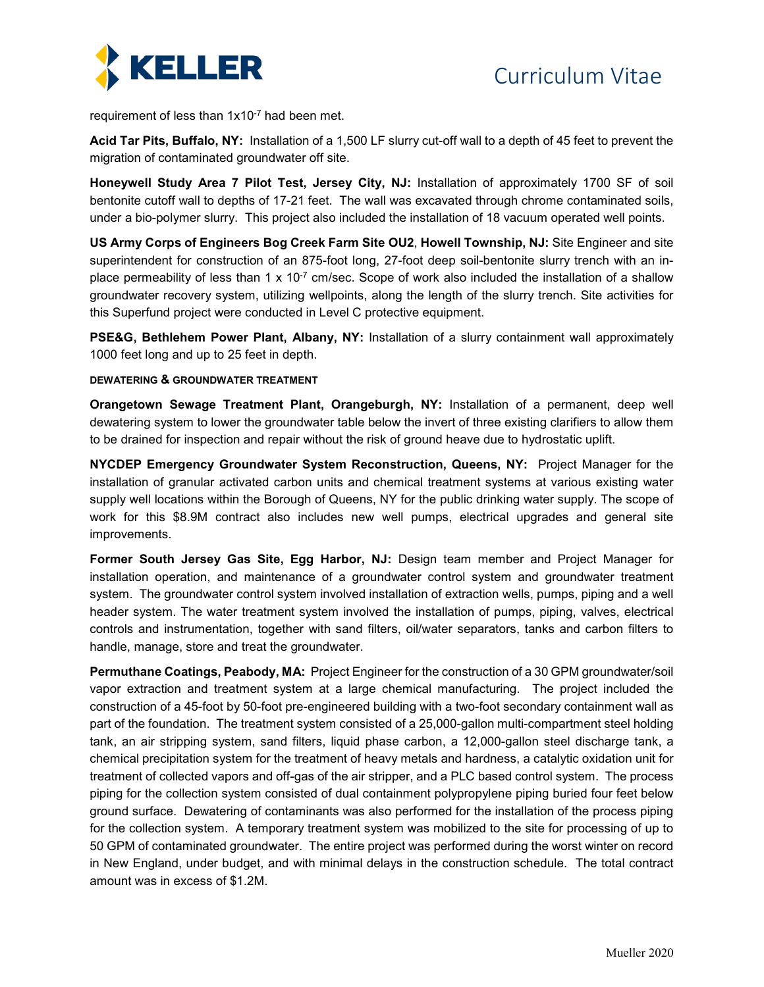

requirement of less than 1x10-7 had been met.

**Acid Tar Pits, Buffalo, NY:** Installation of a 1,500 LF slurry cut-off wall to a depth of 45 feet to prevent the migration of contaminated groundwater off site.

**Honeywell Study Area 7 Pilot Test, Jersey City, NJ:** Installation of approximately 1700 SF of soil bentonite cutoff wall to depths of 17-21 feet. The wall was excavated through chrome contaminated soils, under a bio-polymer slurry. This project also included the installation of 18 vacuum operated well points.

**US Army Corps of Engineers Bog Creek Farm Site OU2**, **Howell Township, NJ:** Site Engineer and site superintendent for construction of an 875-foot long, 27-foot deep soil-bentonite slurry trench with an inplace permeability of less than 1 x 10<sup>-7</sup> cm/sec. Scope of work also included the installation of a shallow groundwater recovery system, utilizing wellpoints, along the length of the slurry trench. Site activities for this Superfund project were conducted in Level C protective equipment.

**PSE&G, Bethlehem Power Plant, Albany, NY:** Installation of a slurry containment wall approximately 1000 feet long and up to 25 feet in depth.

#### **DEWATERING & GROUNDWATER TREATMENT**

**Orangetown Sewage Treatment Plant, Orangeburgh, NY:** Installation of a permanent, deep well dewatering system to lower the groundwater table below the invert of three existing clarifiers to allow them to be drained for inspection and repair without the risk of ground heave due to hydrostatic uplift.

**NYCDEP Emergency Groundwater System Reconstruction, Queens, NY:** Project Manager for the installation of granular activated carbon units and chemical treatment systems at various existing water supply well locations within the Borough of Queens, NY for the public drinking water supply. The scope of work for this \$8.9M contract also includes new well pumps, electrical upgrades and general site improvements.

**Former South Jersey Gas Site, Egg Harbor, NJ:** Design team member and Project Manager for installation operation, and maintenance of a groundwater control system and groundwater treatment system. The groundwater control system involved installation of extraction wells, pumps, piping and a well header system. The water treatment system involved the installation of pumps, piping, valves, electrical controls and instrumentation, together with sand filters, oil/water separators, tanks and carbon filters to handle, manage, store and treat the groundwater.

**Permuthane Coatings, Peabody, MA:** Project Engineer for the construction of a 30 GPM groundwater/soil vapor extraction and treatment system at a large chemical manufacturing. The project included the construction of a 45-foot by 50-foot pre-engineered building with a two-foot secondary containment wall as part of the foundation. The treatment system consisted of a 25,000-gallon multi-compartment steel holding tank, an air stripping system, sand filters, liquid phase carbon, a 12,000-gallon steel discharge tank, a chemical precipitation system for the treatment of heavy metals and hardness, a catalytic oxidation unit for treatment of collected vapors and off-gas of the air stripper, and a PLC based control system. The process piping for the collection system consisted of dual containment polypropylene piping buried four feet below ground surface. Dewatering of contaminants was also performed for the installation of the process piping for the collection system. A temporary treatment system was mobilized to the site for processing of up to 50 GPM of contaminated groundwater. The entire project was performed during the worst winter on record in New England, under budget, and with minimal delays in the construction schedule. The total contract amount was in excess of \$1.2M.